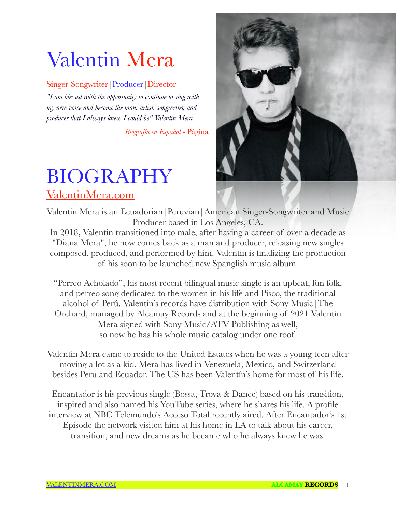# Valentin Mera

## Singer-Songwriter|Producer|Director

*"I am blessed with the opportunity to continue to sing with my new voice and become the man, artist, songwriter, and producer that I always knew I could be" Valentín Mera.*

*Biografía en Español* - Página

## BIOGRAPHY [ValentinMera.com](http://ValentinMera.com)



Valentín Mera is an Ecuadorian|Peruvian|American Singer-Songwriter and Music Producer based in Los Angeles, CA.

In 2018, Valentín transitioned into male, after having a career of over a decade as "Diana Mera"; he now comes back as a man and producer, releasing new singles composed, produced, and performed by him. Valentín is finalizing the production of his soon to be launched new Spanglish music album.

"Perreo Acholado", his most recent bilingual music single is an upbeat, fun folk, and perreo song dedicated to the women in his life and Pisco, the traditional alcohol of Perú. Valentín's records have distribution with Sony Music|The Orchard, managed by Alcamay Records and at the beginning of 2021 Valentín Mera signed with Sony Music/ATV Publishing as well, so now he has his whole music catalog under one roof.

Valentín Mera came to reside to the United Estates when he was a young teen after moving a lot as a kid. Mera has lived in Venezuela, Mexico, and Switzerland besides Peru and Ecuador. The US has been Valentín's home for most of his life.

Encantador is his previous single (Bossa, Trova & Dance) based on his transition, inspired and also named his YouTube series, where he shares his life. A profile interview at NBC Telemundo's Acceso Total recently aired. After Encantador's 1st Episode the network visited him at his home in LA to talk about his career, transition, and new dreams as he became who he always knew he was.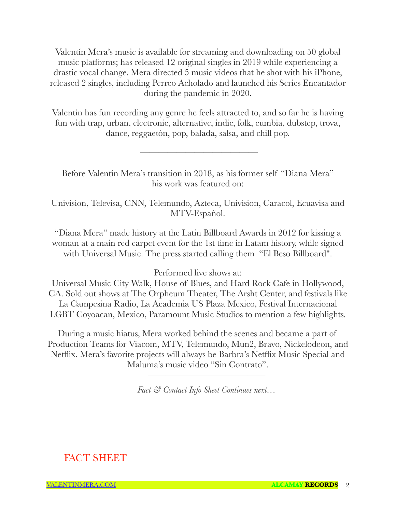Valentín Mera's music is available for streaming and downloading on 50 global music platforms; has released 12 original singles in 2019 while experiencing a drastic vocal change. Mera directed 5 music videos that he shot with his iPhone, released 2 singles, including Perreo Acholado and launched his Series Encantador during the pandemic in 2020.

Valentín has fun recording any genre he feels attracted to, and so far he is having fun with trap, urban, electronic, alternative, indie, folk, cumbia, dubstep, trova, dance, reggaetón, pop, balada, salsa, and chill pop.

Before Valentín Mera's transition in 2018, as his former self "Diana Mera" his work was featured on:

 $\frac{1}{\sqrt{2}}$  , and the set of the set of the set of the set of the set of the set of the set of the set of the set of the set of the set of the set of the set of the set of the set of the set of the set of the set of the

Univision, Televisa, CNN, Telemundo, Azteca, Univision, Caracol, Ecuavisa and MTV-Español.

"Diana Mera" made history at the Latin Billboard Awards in 2012 for kissing a woman at a main red carpet event for the 1st time in Latam history, while signed with Universal Music. The press started calling them "El Beso Billboard".

Performed live shows at:

Universal Music City Walk, House of Blues, and Hard Rock Cafe in Hollywood, CA. Sold out shows at The Orpheum Theater, The Arsht Center, and festivals like La Campesina Radio, La Academia US Plaza Mexico, Festival Internacional LGBT Coyoacan, Mexico, Paramount Music Studios to mention a few highlights.

During a music hiatus, Mera worked behind the scenes and became a part of Production Teams for Viacom, MTV, Telemundo, Mun2, Bravo, Nickelodeon, and Netflix. Mera's favorite projects will always be Barbra's Netflix Music Special and Maluma's music video "Sin Contrato".

*Fact & Contact Info Sheet Continues next…*

—————————————

## FACT SHEET